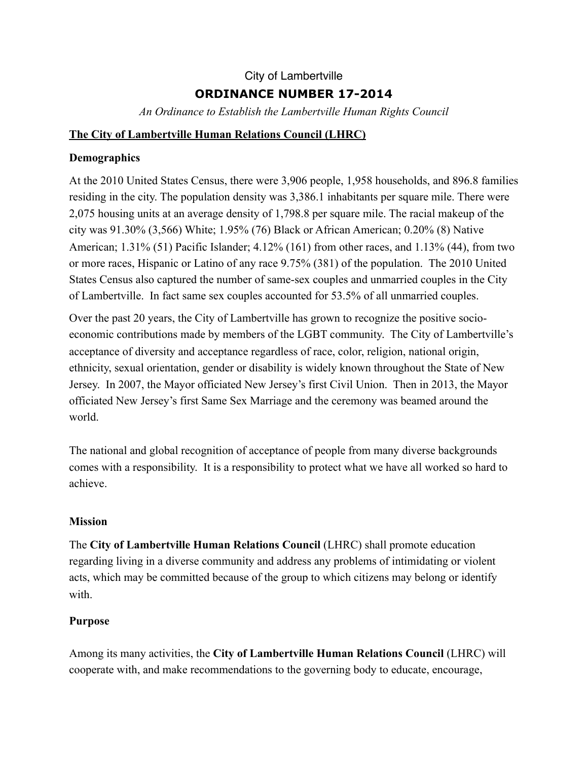# City of Lambertville **ORDINANCE NUMBER 17-2014**

*An Ordinance to Establish the Lambertville Human Rights Council* 

### **The City of Lambertville Human Relations Council (LHRC)**

# **Demographics**

At the 2010 United States Census, there were 3,906 people, 1,958 households, and 896.8 families residing in the city. The population density was 3,386.1 inhabitants per square mile. There were 2,075 housing units at an average density of 1,798.8 per square mile. The racial makeup of the city was 91.30% (3,566) White; 1.95% (76) Black or African American; 0.20% (8) Native American; 1.31% (51) Pacific Islander; 4.12% (161) from other races, and 1.13% (44), from two or more races, Hispanic or Latino of any race 9.75% (381) of the population. The 2010 United States Census also captured the number of same-sex couples and unmarried couples in the City of Lambertville. In fact same sex couples accounted for 53.5% of all unmarried couples.

Over the past 20 years, the City of Lambertville has grown to recognize the positive socioeconomic contributions made by members of the LGBT community. The City of Lambertville's acceptance of diversity and acceptance regardless of race, color, religion, national origin, ethnicity, sexual orientation, gender or disability is widely known throughout the State of New Jersey. In 2007, the Mayor officiated New Jersey's first Civil Union. Then in 2013, the Mayor officiated New Jersey's first Same Sex Marriage and the ceremony was beamed around the world.

The national and global recognition of acceptance of people from many diverse backgrounds comes with a responsibility. It is a responsibility to protect what we have all worked so hard to achieve.

# **Mission**

The **City of Lambertville Human Relations Council** (LHRC) shall promote education regarding living in a diverse community and address any problems of intimidating or violent acts, which may be committed because of the group to which citizens may belong or identify with.

# **Purpose**

Among its many activities, the **City of Lambertville Human Relations Council** (LHRC) will cooperate with, and make recommendations to the governing body to educate, encourage,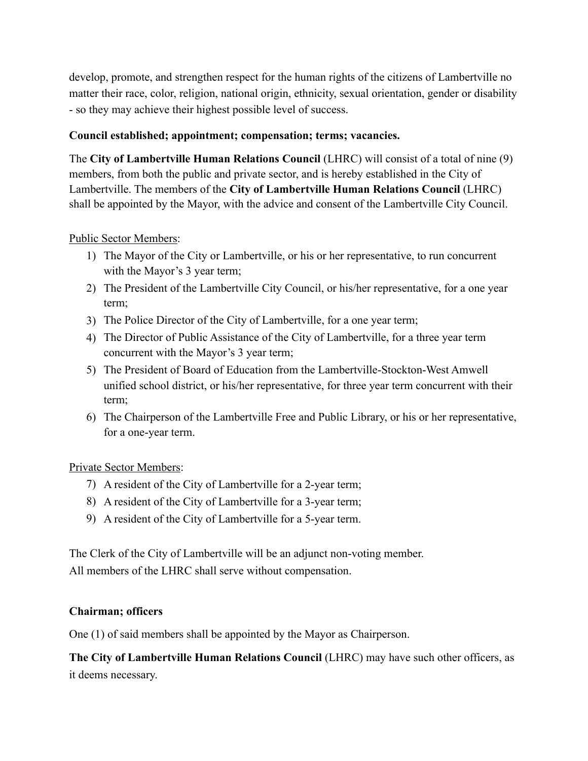develop, promote, and strengthen respect for the human rights of the citizens of Lambertville no matter their race, color, religion, national origin, ethnicity, sexual orientation, gender or disability - so they may achieve their highest possible level of success.

### **Council established; appointment; compensation; terms; vacancies.**

The **City of Lambertville Human Relations Council** (LHRC) will consist of a total of nine (9) members, from both the public and private sector, and is hereby established in the City of Lambertville. The members of the **City of Lambertville Human Relations Council** (LHRC) shall be appointed by the Mayor, with the advice and consent of the Lambertville City Council.

# Public Sector Members:

- 1) The Mayor of the City or Lambertville, or his or her representative, to run concurrent with the Mayor's 3 year term;
- 2) The President of the Lambertville City Council, or his/her representative, for a one year term;
- 3) The Police Director of the City of Lambertville, for a one year term;
- 4) The Director of Public Assistance of the City of Lambertville, for a three year term concurrent with the Mayor's 3 year term;
- 5) The President of Board of Education from the Lambertville-Stockton-West Amwell unified school district, or his/her representative, for three year term concurrent with their term;
- 6) The Chairperson of the Lambertville Free and Public Library, or his or her representative, for a one-year term.

### Private Sector Members:

- 7) A resident of the City of Lambertville for a 2-year term;
- 8) A resident of the City of Lambertville for a 3-year term;
- 9) A resident of the City of Lambertville for a 5-year term.

The Clerk of the City of Lambertville will be an adjunct non-voting member. All members of the LHRC shall serve without compensation.

### **Chairman; officers**

One (1) of said members shall be appointed by the Mayor as Chairperson.

**The City of Lambertville Human Relations Council** (LHRC) may have such other officers, as it deems necessary.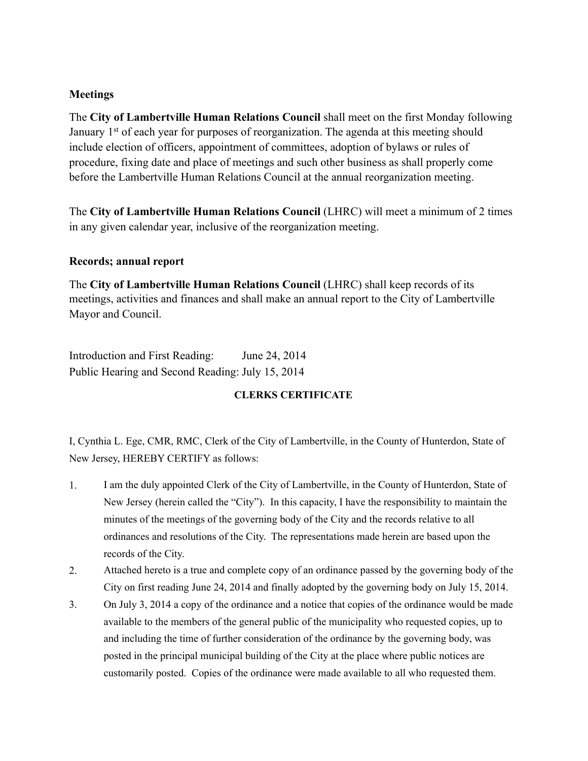#### **Meetings**

The **City of Lambertville Human Relations Council** shall meet on the first Monday following January 1<sup>st</sup> of each year for purposes of reorganization. The agenda at this meeting should include election of officers, appointment of committees, adoption of bylaws or rules of procedure, fixing date and place of meetings and such other business as shall properly come before the Lambertville Human Relations Council at the annual reorganization meeting.

The **City of Lambertville Human Relations Council** (LHRC) will meet a minimum of 2 times in any given calendar year, inclusive of the reorganization meeting.

#### **Records; annual report**

The **City of Lambertville Human Relations Council** (LHRC) shall keep records of its meetings, activities and finances and shall make an annual report to the City of Lambertville Mayor and Council.

Introduction and First Reading: June 24, 2014 Public Hearing and Second Reading: July 15, 2014

#### **CLERKS CERTIFICATE**

I, Cynthia L. Ege, CMR, RMC, Clerk of the City of Lambertville, in the County of Hunterdon, State of New Jersey, HEREBY CERTIFY as follows:

- 1. I am the duly appointed Clerk of the City of Lambertville, in the County of Hunterdon, State of New Jersey (herein called the "City"). In this capacity, I have the responsibility to maintain the minutes of the meetings of the governing body of the City and the records relative to all ordinances and resolutions of the City. The representations made herein are based upon the records of the City.
- 2. Attached hereto is a true and complete copy of an ordinance passed by the governing body of the City on first reading June 24, 2014 and finally adopted by the governing body on July 15, 2014.
- 3. On July 3, 2014 a copy of the ordinance and a notice that copies of the ordinance would be made available to the members of the general public of the municipality who requested copies, up to and including the time of further consideration of the ordinance by the governing body, was posted in the principal municipal building of the City at the place where public notices are customarily posted. Copies of the ordinance were made available to all who requested them.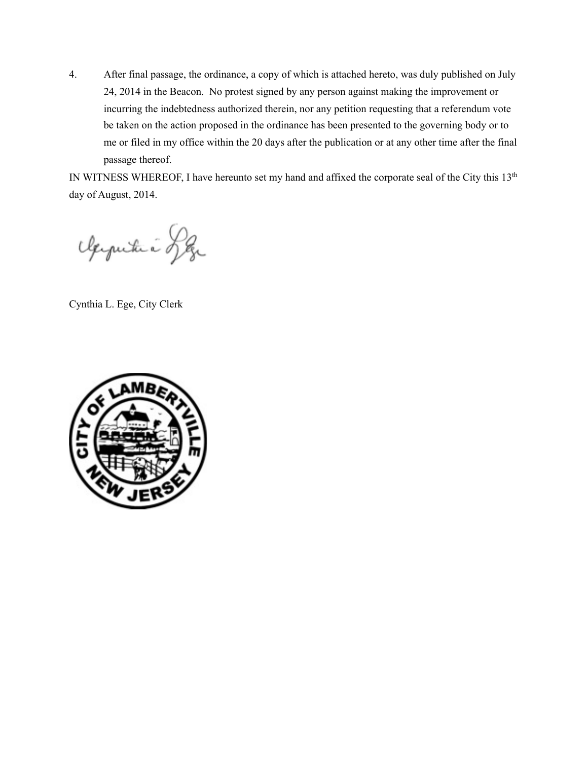4. After final passage, the ordinance, a copy of which is attached hereto, was duly published on July 24, 2014 in the Beacon. No protest signed by any person against making the improvement or incurring the indebtedness authorized therein, nor any petition requesting that a referendum vote be taken on the action proposed in the ordinance has been presented to the governing body or to me or filed in my office within the 20 days after the publication or at any other time after the final passage thereof.

IN WITNESS WHEREOF, I have hereunto set my hand and affixed the corporate seal of the City this 13th day of August, 2014.

Apputué Leg

Cynthia L. Ege, City Clerk